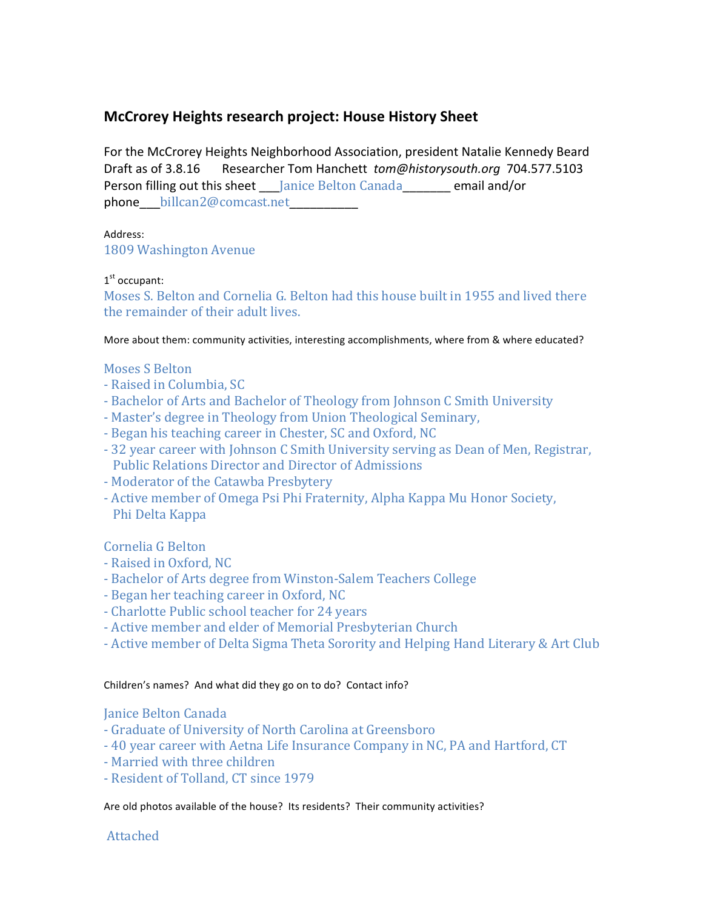# **McCrorey Heights research project: House History Sheet**

For the McCrorey Heights Neighborhood Association, president Natalie Kennedy Beard Draft as of 3.8.16 Researcher Tom Hanchett *tom@historysouth.org* 704.577.5103 Person filling out this sheet Janice Belton Canada email and/or phone billcan2@comcast.net

## Address:

1809 Washington Avenue

# $1<sup>st</sup>$  occupant:

Moses S. Belton and Cornelia G. Belton had this house built in 1955 and lived there the remainder of their adult lives.

More about them: community activities, interesting accomplishments, where from & where educated?

#### Moses S Belton

- Raised in Columbia, SC
- Bachelor of Arts and Bachelor of Theology from Johnson C Smith University
- Master's degree in Theology from Union Theological Seminary,
- Began his teaching career in Chester, SC and Oxford, NC
- 32 year career with Johnson C Smith University serving as Dean of Men, Registrar, Public Relations Director and Director of Admissions
- Moderator of the Catawba Presbytery
- Active member of Omega Psi Phi Fraternity, Alpha Kappa Mu Honor Society, Phi Delta Kappa

# Cornelia G Belton

- Raised in Oxford, NC
- Bachelor of Arts degree from Winston-Salem Teachers College
- Began her teaching career in Oxford, NC
- Charlotte Public school teacher for 24 years
- Active member and elder of Memorial Presbyterian Church
- Active member of Delta Sigma Theta Sorority and Helping Hand Literary & Art Club

#### Children's names? And what did they go on to do? Contact info?

# Janice Belton Canada

- Graduate of University of North Carolina at Greensboro
- 40 year career with Aetna Life Insurance Company in NC, PA and Hartford, CT
- Married with three children
- Resident of Tolland, CT since 1979

Are old photos available of the house? Its residents? Their community activities?

# Attached